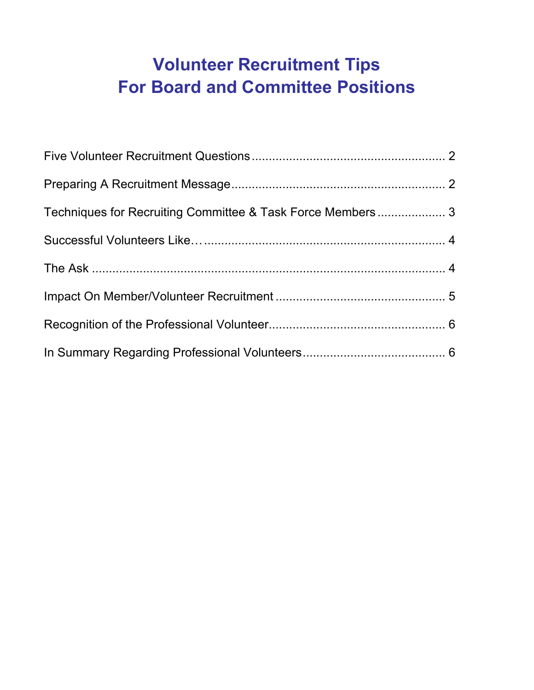# <span id="page-0-0"></span>**Volunteer Recruitment Tips For Board and Committee Positions**

| Techniques for Recruiting Committee & Task Force Members 3 |  |
|------------------------------------------------------------|--|
|                                                            |  |
|                                                            |  |
|                                                            |  |
|                                                            |  |
|                                                            |  |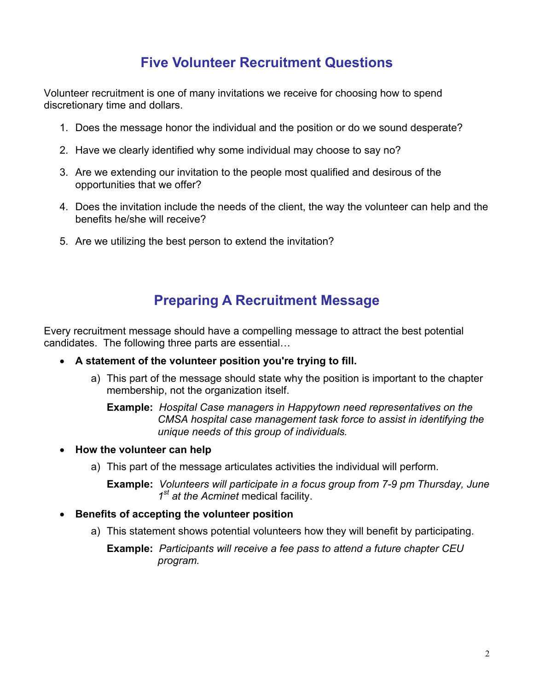## **Five Volunteer Recruitment Questions**

<span id="page-1-0"></span>Volunteer recruitment is one of many invitations we receive for choosing how to spend discretionary time and dollars.

- 1. Does the message honor the individual and the position or do we sound desperate?
- 2. Have we clearly identified why some individual may choose to say no?
- 3. Are we extending our invitation to the people most qualified and desirous of the opportunities that we offer?
- 4. Does the invitation include the needs of the client, the way the volunteer can help and the benefits he/she will receive?
- 5. Are we utilizing the best person to extend the invitation?

### **Preparing A Recruitment Message**

Every recruitment message should have a compelling message to attract the best potential candidates. The following three parts are essential…

- **A statement of the volunteer position you're trying to fill.** 
	- a) This part of the message should state why the position is important to the chapter membership, not the organization itself.

**Example:** *Hospital Case managers in Happytown need representatives on the CMSA hospital case management task force to assist in identifying the unique needs of this group of individuals.*

- **How the volunteer can help** 
	- a) This part of the message articulates activities the individual will perform.

**Example:** *Volunteers will participate in a focus group from 7-9 pm Thursday, June 1st at the Acminet* medical facility.

- **Benefits of accepting the volunteer position** 
	- a) This statement shows potential volunteers how they will benefit by participating.

**Example:** *Participants will receive a fee pass to attend a future chapter CEU program.*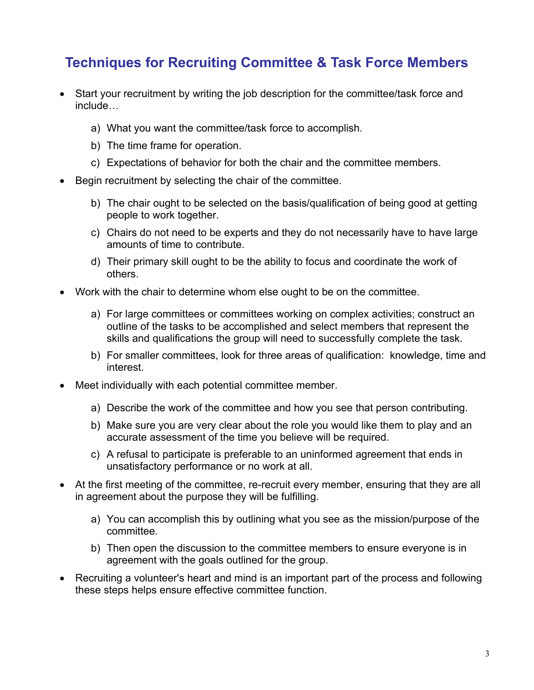## <span id="page-2-0"></span>**Techniques for Recruiting Committee & Task Force Members**

- Start your recruitment by writing the job description for the committee/task force and include…
	- a) What you want the committee/task force to accomplish.
	- b) The time frame for operation.
	- c) Expectations of behavior for both the chair and the committee members.
- Begin recruitment by selecting the chair of the committee.
	- b) The chair ought to be selected on the basis/qualification of being good at getting people to work together.
	- c) Chairs do not need to be experts and they do not necessarily have to have large amounts of time to contribute.
	- d) Their primary skill ought to be the ability to focus and coordinate the work of others.
- Work with the chair to determine whom else ought to be on the committee.
	- a) For large committees or committees working on complex activities; construct an outline of the tasks to be accomplished and select members that represent the skills and qualifications the group will need to successfully complete the task.
	- b) For smaller committees, look for three areas of qualification: knowledge, time and interest.
- Meet individually with each potential committee member.
	- a) Describe the work of the committee and how you see that person contributing.
	- b) Make sure you are very clear about the role you would like them to play and an accurate assessment of the time you believe will be required.
	- c) A refusal to participate is preferable to an uninformed agreement that ends in unsatisfactory performance or no work at all.
- At the first meeting of the committee, re-recruit every member, ensuring that they are all in agreement about the purpose they will be fulfilling.
	- a) You can accomplish this by outlining what you see as the mission/purpose of the committee.
	- b) Then open the discussion to the committee members to ensure everyone is in agreement with the goals outlined for the group.
- Recruiting a volunteer's heart and mind is an important part of the process and following these steps helps ensure effective committee function.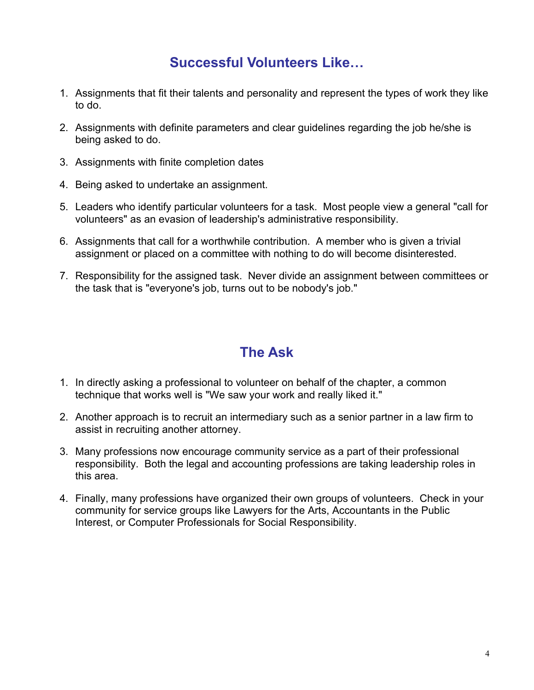### **Successful Volunteers Like…**

- <span id="page-3-0"></span>1. Assignments that fit their talents and personality and represent the types of work they like to do.
- 2. Assignments with definite parameters and clear guidelines regarding the job he/she is being asked to do.
- 3. Assignments with finite completion dates
- 4. Being asked to undertake an assignment.
- 5. Leaders who identify particular volunteers for a task. Most people view a general "call for volunteers" as an evasion of leadership's administrative responsibility.
- 6. Assignments that call for a worthwhile contribution. A member who is given a trivial assignment or placed on a committee with nothing to do will become disinterested.
- 7. Responsibility for the assigned task. Never divide an assignment between committees or the task that is "everyone's job, turns out to be nobody's job."

#### **The Ask**

- 1. In directly asking a professional to volunteer on behalf of the chapter, a common technique that works well is "We saw your work and really liked it."
- 2. Another approach is to recruit an intermediary such as a senior partner in a law firm to assist in recruiting another attorney.
- 3. Many professions now encourage community service as a part of their professional responsibility. Both the legal and accounting professions are taking leadership roles in this area.
- 4. Finally, many professions have organized their own groups of volunteers. Check in your community for service groups like Lawyers for the Arts, Accountants in the Public Interest, or Computer Professionals for Social Responsibility.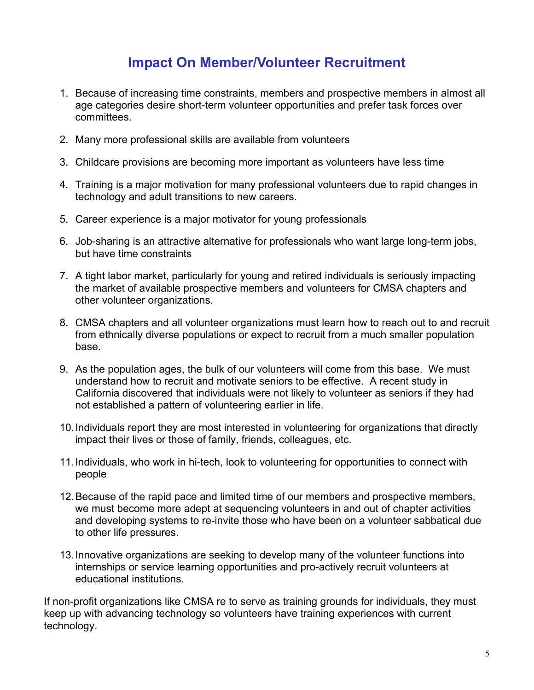## **Impact On Member/Volunteer Recruitment**

- <span id="page-4-0"></span>1. Because of increasing time constraints, members and prospective members in almost all age categories desire short-term volunteer opportunities and prefer task forces over committees.
- 2. Many more professional skills are available from volunteers
- 3. Childcare provisions are becoming more important as volunteers have less time
- 4. Training is a major motivation for many professional volunteers due to rapid changes in technology and adult transitions to new careers.
- 5. Career experience is a major motivator for young professionals
- 6. Job-sharing is an attractive alternative for professionals who want large long-term jobs, but have time constraints
- 7. A tight labor market, particularly for young and retired individuals is seriously impacting the market of available prospective members and volunteers for CMSA chapters and other volunteer organizations.
- 8. CMSA chapters and all volunteer organizations must learn how to reach out to and recruit from ethnically diverse populations or expect to recruit from a much smaller population base.
- 9. As the population ages, the bulk of our volunteers will come from this base. We must understand how to recruit and motivate seniors to be effective. A recent study in California discovered that individuals were not likely to volunteer as seniors if they had not established a pattern of volunteering earlier in life.
- 10. Individuals report they are most interested in volunteering for organizations that directly impact their lives or those of family, friends, colleagues, etc.
- 11. Individuals, who work in hi-tech, look to volunteering for opportunities to connect with people
- 12. Because of the rapid pace and limited time of our members and prospective members, we must become more adept at sequencing volunteers in and out of chapter activities and developing systems to re-invite those who have been on a volunteer sabbatical due to other life pressures.
- 13. Innovative organizations are seeking to develop many of the volunteer functions into internships or service learning opportunities and pro-actively recruit volunteers at educational institutions.

If non-profit organizations like CMSA re to serve as training grounds for individuals, they must keep up with advancing technology so volunteers have training experiences with current technology.